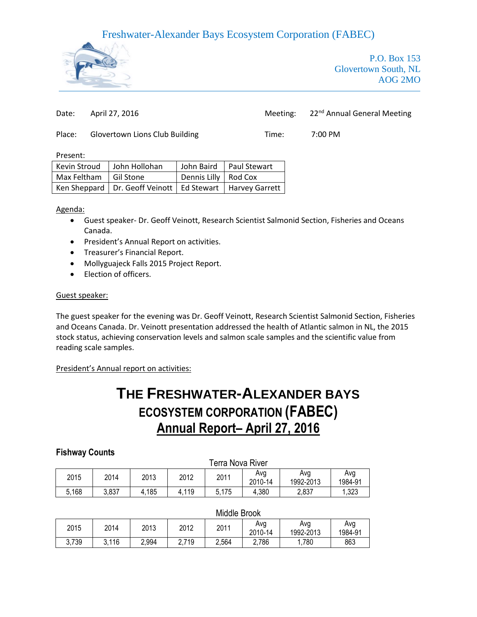

P.O. Box 153 Glovertown South, NL AOG 2MO

Date: April 27, 2016 Meeting: 22<sup>nd</sup> Annual General Meeting

Place: Glovertown Lions Club Building Time: 7:00 PM

Present:

| Kevin Stroud            | John Hollohan                                                  |                        | John Baird   Paul Stewart |
|-------------------------|----------------------------------------------------------------|------------------------|---------------------------|
| Max Feltham   Gil Stone |                                                                | Dennis Lilly   Rod Cox |                           |
|                         | Ken Sheppard   Dr. Geoff Veinott   Ed Stewart   Harvey Garrett |                        |                           |

Agenda:

- Guest speaker- Dr. Geoff Veinott, Research Scientist Salmonid Section, Fisheries and Oceans Canada.
- **•** President's Annual Report on activities.
- **•** Treasurer's Financial Report.
- Mollyguajeck Falls 2015 Project Report.
- Election of officers.

#### Guest speaker:

The guest speaker for the evening was Dr. Geoff Veinott, Research Scientist Salmonid Section, Fisheries and Oceans Canada. Dr. Veinott presentation addressed the health of Atlantic salmon in NL, the 2015 stock status, achieving conservation levels and salmon scale samples and the scientific value from reading scale samples.

President's Annual report on activities:

# **THE FRESHWATER-ALEXANDER BAYS ECOSYSTEM CORPORATION (FABEC) Annual Report– April 27, 2016**

### **Fishway Counts**

|       | Terra Nova River |       |       |       |                |                  |                |
|-------|------------------|-------|-------|-------|----------------|------------------|----------------|
| 2015  | 2014             | 2013  | 2012  | 2011  | Ava<br>2010-14 | Ava<br>1992-2013 | Ava<br>1984-91 |
| 5.168 | 3,837            | 4,185 | 4,119 | 5,175 | 4,380          | 2,837            | 1,323          |

#### Middle Brook

| 2015  | 2014  | 2013  | 2012  | 2011  | Avg<br>2010-14 | Avg<br>1992-2013 | Avg<br>1984-91 |
|-------|-------|-------|-------|-------|----------------|------------------|----------------|
| 3,739 | 3.116 | 2,994 | 2,719 | 2,564 | 2,786          | ,780             | 863            |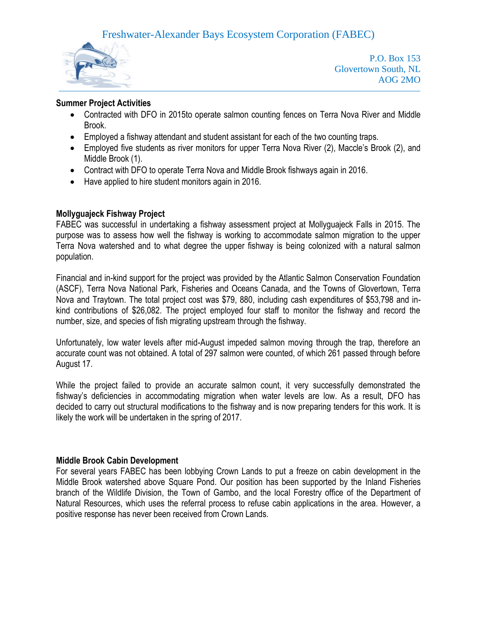

P.O. Box 153 Glovertown South, NL AOG 2MO

### **Summer Project Activities**

- Contracted with DFO in 2015to operate salmon counting fences on Terra Nova River and Middle Brook.
- Employed a fishway attendant and student assistant for each of the two counting traps.
- Employed five students as river monitors for upper Terra Nova River (2), Maccle's Brook (2), and Middle Brook (1).
- Contract with DFO to operate Terra Nova and Middle Brook fishways again in 2016.
- Have applied to hire student monitors again in 2016.

### **Mollyguajeck Fishway Project**

FABEC was successful in undertaking a fishway assessment project at Mollyguajeck Falls in 2015. The purpose was to assess how well the fishway is working to accommodate salmon migration to the upper Terra Nova watershed and to what degree the upper fishway is being colonized with a natural salmon population.

Financial and in-kind support for the project was provided by the Atlantic Salmon Conservation Foundation (ASCF), Terra Nova National Park, Fisheries and Oceans Canada, and the Towns of Glovertown, Terra Nova and Traytown. The total project cost was \$79, 880, including cash expenditures of \$53,798 and inkind contributions of \$26,082. The project employed four staff to monitor the fishway and record the number, size, and species of fish migrating upstream through the fishway.

Unfortunately, low water levels after mid-August impeded salmon moving through the trap, therefore an accurate count was not obtained. A total of 297 salmon were counted, of which 261 passed through before August 17.

While the project failed to provide an accurate salmon count, it very successfully demonstrated the fishway's deficiencies in accommodating migration when water levels are low. As a result, DFO has decided to carry out structural modifications to the fishway and is now preparing tenders for this work. It is likely the work will be undertaken in the spring of 2017.

### **Middle Brook Cabin Development**

For several years FABEC has been lobbying Crown Lands to put a freeze on cabin development in the Middle Brook watershed above Square Pond. Our position has been supported by the Inland Fisheries branch of the Wildlife Division, the Town of Gambo, and the local Forestry office of the Department of Natural Resources, which uses the referral process to refuse cabin applications in the area. However, a positive response has never been received from Crown Lands.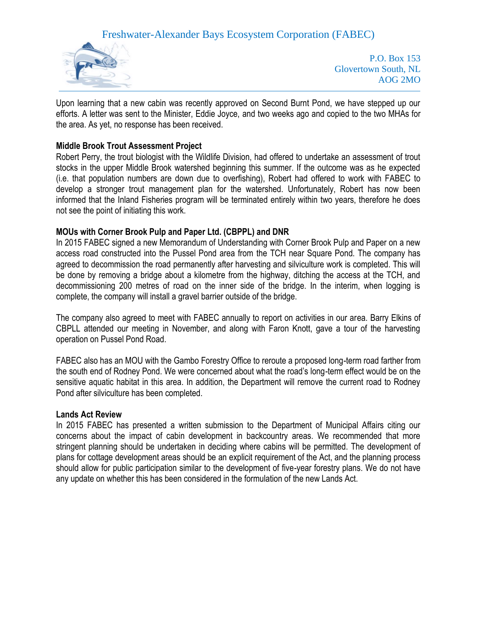

P.O. Box 153 Glovertown South, NL AOG 2MO

Upon learning that a new cabin was recently approved on Second Burnt Pond, we have stepped up our efforts. A letter was sent to the Minister, Eddie Joyce, and two weeks ago and copied to the two MHAs for the area. As yet, no response has been received.

### **Middle Brook Trout Assessment Project**

Robert Perry, the trout biologist with the Wildlife Division, had offered to undertake an assessment of trout stocks in the upper Middle Brook watershed beginning this summer. If the outcome was as he expected (i.e. that population numbers are down due to overfishing), Robert had offered to work with FABEC to develop a stronger trout management plan for the watershed. Unfortunately, Robert has now been informed that the Inland Fisheries program will be terminated entirely within two years, therefore he does not see the point of initiating this work.

### **MOUs with Corner Brook Pulp and Paper Ltd. (CBPPL) and DNR**

In 2015 FABEC signed a new Memorandum of Understanding with Corner Brook Pulp and Paper on a new access road constructed into the Pussel Pond area from the TCH near Square Pond. The company has agreed to decommission the road permanently after harvesting and silviculture work is completed. This will be done by removing a bridge about a kilometre from the highway, ditching the access at the TCH, and decommissioning 200 metres of road on the inner side of the bridge. In the interim, when logging is complete, the company will install a gravel barrier outside of the bridge.

The company also agreed to meet with FABEC annually to report on activities in our area. Barry Elkins of CBPLL attended our meeting in November, and along with Faron Knott, gave a tour of the harvesting operation on Pussel Pond Road.

FABEC also has an MOU with the Gambo Forestry Office to reroute a proposed long-term road farther from the south end of Rodney Pond. We were concerned about what the road's long-term effect would be on the sensitive aquatic habitat in this area. In addition, the Department will remove the current road to Rodney Pond after silviculture has been completed.

#### **Lands Act Review**

In 2015 FABEC has presented a written submission to the Department of Municipal Affairs citing our concerns about the impact of cabin development in backcountry areas. We recommended that more stringent planning should be undertaken in deciding where cabins will be permitted. The development of plans for cottage development areas should be an explicit requirement of the Act, and the planning process should allow for public participation similar to the development of five-year forestry plans. We do not have any update on whether this has been considered in the formulation of the new Lands Act.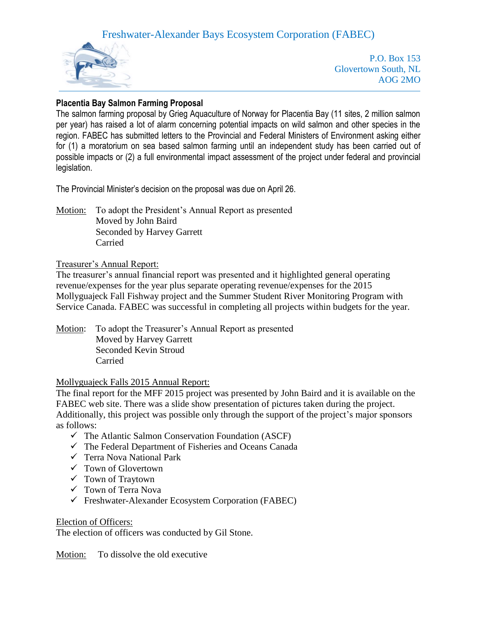

P.O. Box 153 Glovertown South, NL AOG 2MO

## **Placentia Bay Salmon Farming Proposal**

The salmon farming proposal by Grieg Aquaculture of Norway for Placentia Bay (11 sites, 2 million salmon per year) has raised a lot of alarm concerning potential impacts on wild salmon and other species in the region. FABEC has submitted letters to the Provincial and Federal Ministers of Environment asking either for (1) a moratorium on sea based salmon farming until an independent study has been carried out of possible impacts or (2) a full environmental impact assessment of the project under federal and provincial legislation.

The Provincial Minister's decision on the proposal was due on April 26.

Motion: To adopt the President's Annual Report as presented Moved by John Baird Seconded by Harvey Garrett Carried

### Treasurer's Annual Report:

The treasurer's annual financial report was presented and it highlighted general operating revenue/expenses for the year plus separate operating revenue/expenses for the 2015 Mollyguajeck Fall Fishway project and the Summer Student River Monitoring Program with Service Canada. FABEC was successful in completing all projects within budgets for the year.

Motion: To adopt the Treasurer's Annual Report as presented Moved by Harvey Garrett Seconded Kevin Stroud Carried

### Mollyguajeck Falls 2015 Annual Report:

The final report for the MFF 2015 project was presented by John Baird and it is available on the FABEC web site. There was a slide show presentation of pictures taken during the project. Additionally, this project was possible only through the support of the project's major sponsors as follows:

- $\checkmark$  The Atlantic Salmon Conservation Foundation (ASCF)
- $\checkmark$  The Federal Department of Fisheries and Oceans Canada
- Terra Nova National Park
- $\checkmark$  Town of Glovertown
- $\checkmark$  Town of Traytown
- Town of Terra Nova
- Freshwater-Alexander Ecosystem Corporation (FABEC)

#### Election of Officers:

The election of officers was conducted by Gil Stone.

Motion: To dissolve the old executive